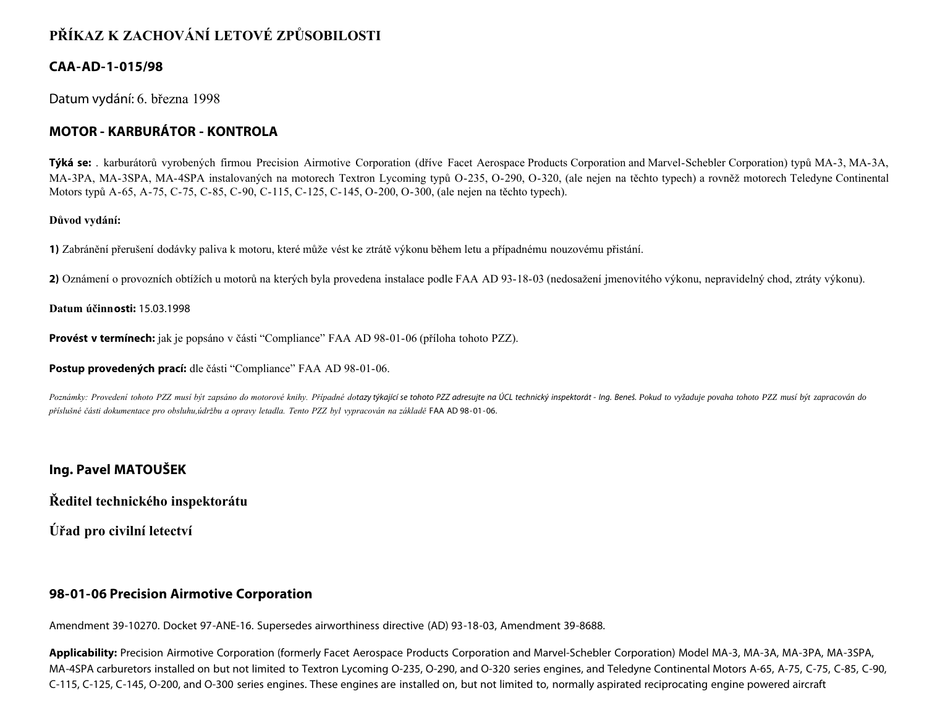# **PŘÍKAZ K ZACHOVÁNÍ LETOVÉ ZPŮSOBILOSTI**

# **CAA-AD-1-015/98**

Datum vydání: 6. března 1998

# **MOTOR - KARBURÁTOR - KONTROLA**

**Týká se:** . karburátorů vyrobených firmou Precision Airmotive Corporation (dříve Facet Aerospace Products Corporation and Marvel-Schebler Corporation) typů MA-3, MA-3A, MA-3PA, MA-3SPA, MA-4SPA instalovaných na motorech Textron Lycoming typů O-235, O-290, O-320, (ale nejen na těchto typech) a rovněž motorech Teledyne Continental Motors typů A-65, A-75, C-75, C-85, C-90, C-115, C-125, C-145, O-200, O-300, (ale nejen na těchto typech).

#### **Důvod vydání:**

**1)** Zabránění přerušení dodávky paliva k motoru, které může vést ke ztrátě výkonu během letu a případnému nouzovému přistání.

**2)** Oznámení o provozních obtížích u motorů na kterých byla provedena instalace podle FAA AD 93-18-03 (nedosažení jmenovitého výkonu, nepravidelný chod, ztráty výkonu).

#### **Datum účinnosti:** 15.03.1998

**Provést v termínech:** jak je popsáno v části "Compliance" FAA AD 98-01-06 (příloha tohoto PZZ).

**Postup provedených prací:** dle části "Compliance" FAA AD 98-01-06.

Poznámky: Provedení tohoto PZZ musí být zapsáno do motorové knihy. Případné dotazy týkající se tohoto PZZ adresujte na ÚCL technický inspektorát - lng. Beneš. Pokud to vyžaduje povaha tohoto PZZ musí být zapracován do *příslušné části dokumentace pro obsluhu,údržbu a opravy letadla. Tento PZZ byl vypracován na základě* FAA AD 98-01-06.

## **Ing. Pavel MATOUŠEK**

**Ředitel technického inspektorátu**

**Úřad pro civilní letectví**

## **98-01-06 Precision Airmotive Corporation**

Amendment 39-10270. Docket 97-ANE-16. Supersedes airworthiness directive (AD) 93-18-03, Amendment 39-8688.

**Applicability:** Precision Airmotive Corporation (formerly Facet Aerospace Products Corporation and Marvel-Schebler Corporation) Model MA-3, MA-3A, MA-3PA, MA-3SPA, MA-4SPA carburetors installed on but not limited to Textron Lycoming O-235, O-290, and O-320 series engines, and Teledyne Continental Motors A-65, A-75, C-75, C-85, C-90, C-115, C-125, C-145, O-200, and O-300 series engines. These engines are installed on, but not limited to, normally aspirated reciprocating engine powered aircraft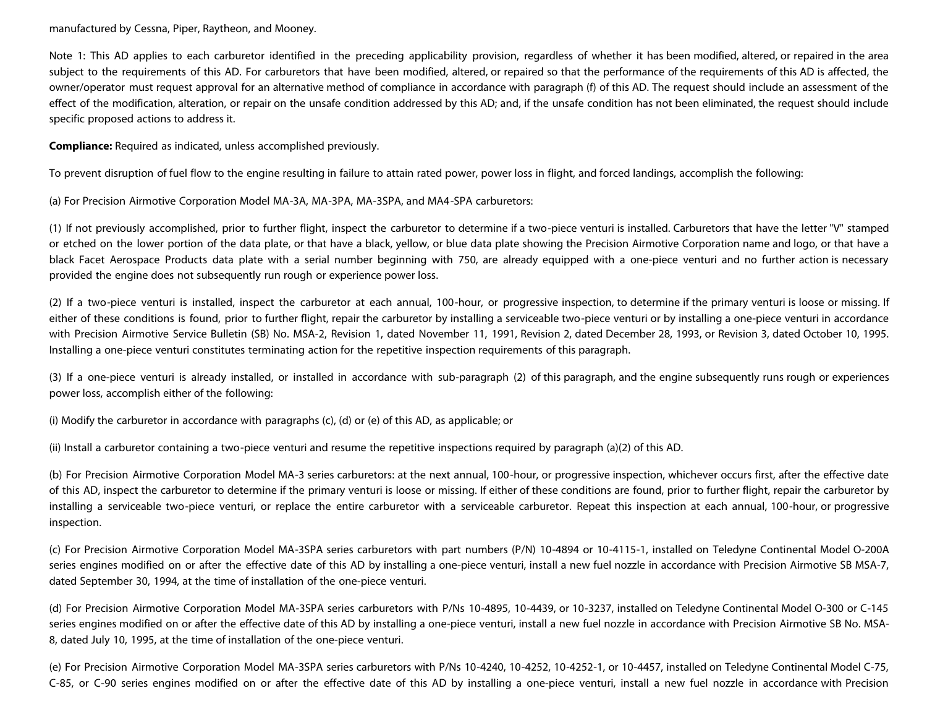manufactured by Cessna, Piper, Raytheon, and Mooney.

Note 1: This AD applies to each carburetor identified in the preceding applicability provision, regardless of whether it has been modified, altered, or repaired in the area subject to the requirements of this AD. For carburetors that have been modified, altered, or repaired so that the performance of the requirements of this AD is affected, the owner/operator must request approval for an alternative method of compliance in accordance with paragraph (f) of this AD. The request should include an assessment of the effect of the modification, alteration, or repair on the unsafe condition addressed by this AD; and, if the unsafe condition has not been eliminated, the request should include specific proposed actions to address it.

**Compliance:** Required as indicated, unless accomplished previously.

To prevent disruption of fuel flow to the engine resulting in failure to attain rated power, power loss in flight, and forced landings, accomplish the following:

(a) For Precision Airmotive Corporation Model MA-3A, MA-3PA, MA-3SPA, and MA4-SPA carburetors:

(1) If not previously accomplished, prior to further flight, inspect the carburetor to determine if a two-piece venturi is installed. Carburetors that have the letter "V" stamped or etched on the lower portion of the data plate, or that have a black, yellow, or blue data plate showing the Precision Airmotive Corporation name and logo, or that have a black Facet Aerospace Products data plate with a serial number beginning with 750, are already equipped with a one-piece venturi and no further action is necessary provided the engine does not subsequently run rough or experience power loss.

(2) If a two-piece venturi is installed, inspect the carburetor at each annual, 100-hour, or progressive inspection, to determine if the primary venturi is loose or missing. If either of these conditions is found, prior to further flight, repair the carburetor by installing a serviceable two-piece venturi or by installing a one-piece venturi in accordance with Precision Airmotive Service Bulletin (SB) No. MSA-2, Revision 1, dated November 11, 1991, Revision 2, dated December 28, 1993, or Revision 3, dated October 10, 1995. Installing a one-piece venturi constitutes terminating action for the repetitive inspection requirements of this paragraph.

(3) If a one-piece venturi is already installed, or installed in accordance with sub-paragraph (2) of this paragraph, and the engine subsequently runs rough or experiences power loss, accomplish either of the following:

(i) Modify the carburetor in accordance with paragraphs (c), (d) or (e) of this AD, as applicable; or

(ii) Install a carburetor containing a two-piece venturi and resume the repetitive inspections required by paragraph (a)(2) of this AD.

(b) For Precision Airmotive Corporation Model MA-3 series carburetors: at the next annual, 100-hour, or progressive inspection, whichever occurs first, after the effective date of this AD, inspect the carburetor to determine if the primary venturi is loose or missing. If either of these conditions are found, prior to further flight, repair the carburetor by installing a serviceable two-piece venturi, or replace the entire carburetor with a serviceable carburetor. Repeat this inspection at each annual, 100-hour, or progressive inspection.

(c) For Precision Airmotive Corporation Model MA-3SPA series carburetors with part numbers (P/N) 10-4894 or 10-4115-1, installed on Teledyne Continental Model O-200A series engines modified on or after the effective date of this AD by installing a one-piece venturi, install a new fuel nozzle in accordance with Precision Airmotive SB MSA-7, dated September 30, 1994, at the time of installation of the one-piece venturi.

(d) For Precision Airmotive Corporation Model MA-3SPA series carburetors with P/Ns 10-4895, 10-4439, or 10-3237, installed on Teledyne Continental Model O-300 or C-145 series engines modified on or after the effective date of this AD by installing a one-piece venturi, install a new fuel nozzle in accordance with Precision Airmotive SB No. MSA-8, dated July 10, 1995, at the time of installation of the one-piece venturi.

(e) For Precision Airmotive Corporation Model MA-3SPA series carburetors with P/Ns 10-4240, 10-4252, 10-4252-1, or 10-4457, installed on Teledyne Continental Model C-75, C-85, or C-90 series engines modified on or after the effective date of this AD by installing a one-piece venturi, install a new fuel nozzle in accordance with Precision